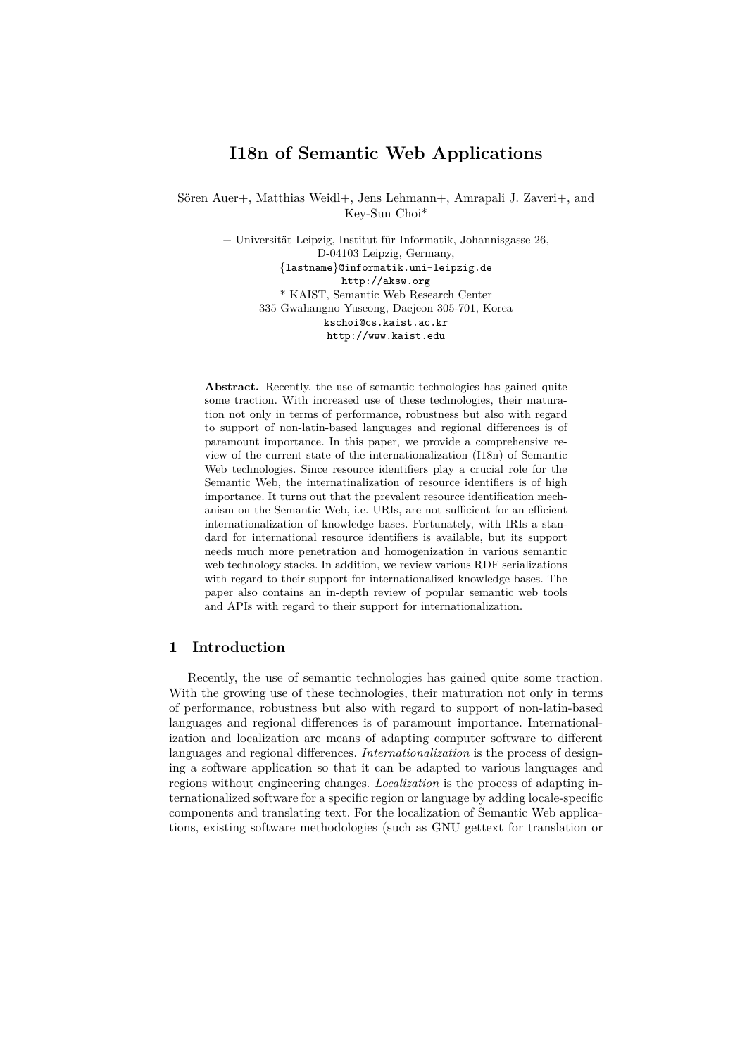# **I18n of Semantic Web Applications**

Sören Auer+, Matthias Weidl+, Jens Lehmann+, Amrapali J. Zaveri+, and Key-Sun Choi\*

> $+$  Universität Leipzig, Institut für Informatik, Johannisgasse 26, D-04103 Leipzig, Germany, *{*lastname*}*@informatik.uni-leipzig.de http://aksw.org \* KAIST, Semantic Web Research Center 335 Gwahangno Yuseong, Daejeon 305-701, Korea kschoi@cs.kaist.ac.kr http://www.kaist.edu

**Abstract.** Recently, the use of semantic technologies has gained quite some traction. With increased use of these technologies, their maturation not only in terms of performance, robustness but also with regard to support of non-latin-based languages and regional differences is of paramount importance. In this paper, we provide a comprehensive review of the current state of the internationalization (I18n) of Semantic Web technologies. Since resource identifiers play a crucial role for the Semantic Web, the internatinalization of resource identifiers is of high importance. It turns out that the prevalent resource identification mechanism on the Semantic Web, i.e. URIs, are not sufficient for an efficient internationalization of knowledge bases. Fortunately, with IRIs a standard for international resource identifiers is available, but its support needs much more penetration and homogenization in various semantic web technology stacks. In addition, we review various RDF serializations with regard to their support for internationalized knowledge bases. The paper also contains an in-depth review of popular semantic web tools and APIs with regard to their support for internationalization.

# **1 Introduction**

Recently, the use of semantic technologies has gained quite some traction. With the growing use of these technologies, their maturation not only in terms of performance, robustness but also with regard to support of non-latin-based languages and regional differences is of paramount importance. Internationalization and localization are means of adapting computer software to different languages and regional differences. *Internationalization* is the process of designing a software application so that it can be adapted to various languages and regions without engineering changes. *Localization* is the process of adapting internationalized software for a specific region or language by adding locale-specific components and translating text. For the localization of Semantic Web applications, existing software methodologies (such as GNU gettext for translation or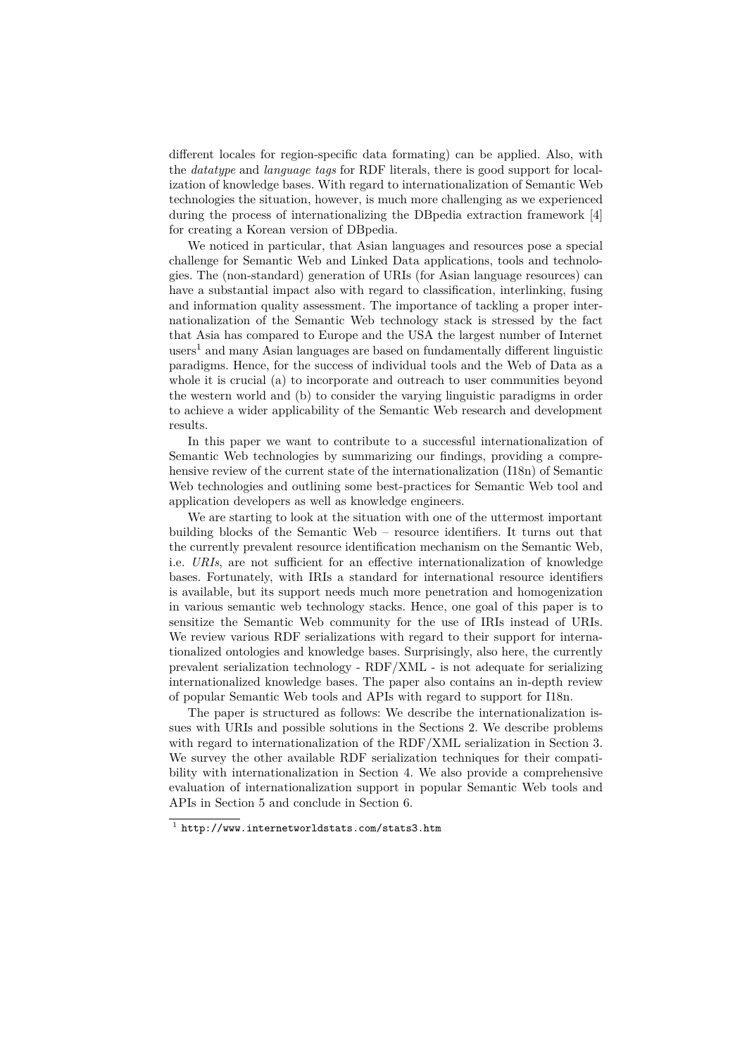different locales for region-specific data formating) can be applied. Also, with the *datatype* and *language tags* for RDF literals, there is good support for localization of knowledge bases. With regard to internationalization of Semantic Web technologies the situation, however, is much more challenging as we experienced during the process of internationalizing the DBpedia extraction framework [4] for creating a Korean version of DBpedia.

We noticed in particular, that Asian languages and resources pose a special challenge for Semantic Web and Linked Data applications, tools and technologies. The (non-standard) generation of URIs (for Asian language resources) can have a substantial impact also with regard to classification, interlinking, fusing and information quality assessment. The importance of tackling a proper internationalization of the Semantic Web technology stack is stressed by the fact that Asia has compared to Europe and the USA the largest number of Internet users<sup>1</sup> and many Asian languages are based on fundamentally different linguistic paradigms. Hence, for the success of individual tools and the Web of Data as a whole it is crucial (a) to incorporate and outreach to user communities beyond the western world and (b) to consider the varying linguistic paradigms in order to achieve a wider applicability of the Semantic Web research and development results.

In this paper we want to contribute to a successful internationalization of Semantic Web technologies by summarizing our findings, providing a comprehensive review of the current state of the internationalization (I18n) of Semantic Web technologies and outlining some best-practices for Semantic Web tool and application developers as well as knowledge engineers.

We are starting to look at the situation with one of the uttermost important building blocks of the Semantic Web – resource identifiers. It turns out that the currently prevalent resource identification mechanism on the Semantic Web, i.e. *URIs*, are not sufficient for an effective internationalization of knowledge bases. Fortunately, with IRIs a standard for international resource identifiers is available, but its support needs much more penetration and homogenization in various semantic web technology stacks. Hence, one goal of this paper is to sensitize the Semantic Web community for the use of IRIs instead of URIs. We review various RDF serializations with regard to their support for internationalized ontologies and knowledge bases. Surprisingly, also here, the currently prevalent serialization technology - RDF/XML - is not adequate for serializing internationalized knowledge bases. The paper also contains an in-depth review of popular Semantic Web tools and APIs with regard to support for I18n.

The paper is structured as follows: We describe the internationalization issues with URIs and possible solutions in the Sections 2. We describe problems with regard to internationalization of the RDF/XML serialization in Section 3. We survey the other available RDF serialization techniques for their compatibility with internationalization in Section 4. We also provide a comprehensive evaluation of internationalization support in popular Semantic Web tools and APIs in Section 5 and conclude in Section 6.

<sup>1</sup> http://www.internetworldstats.com/stats3.htm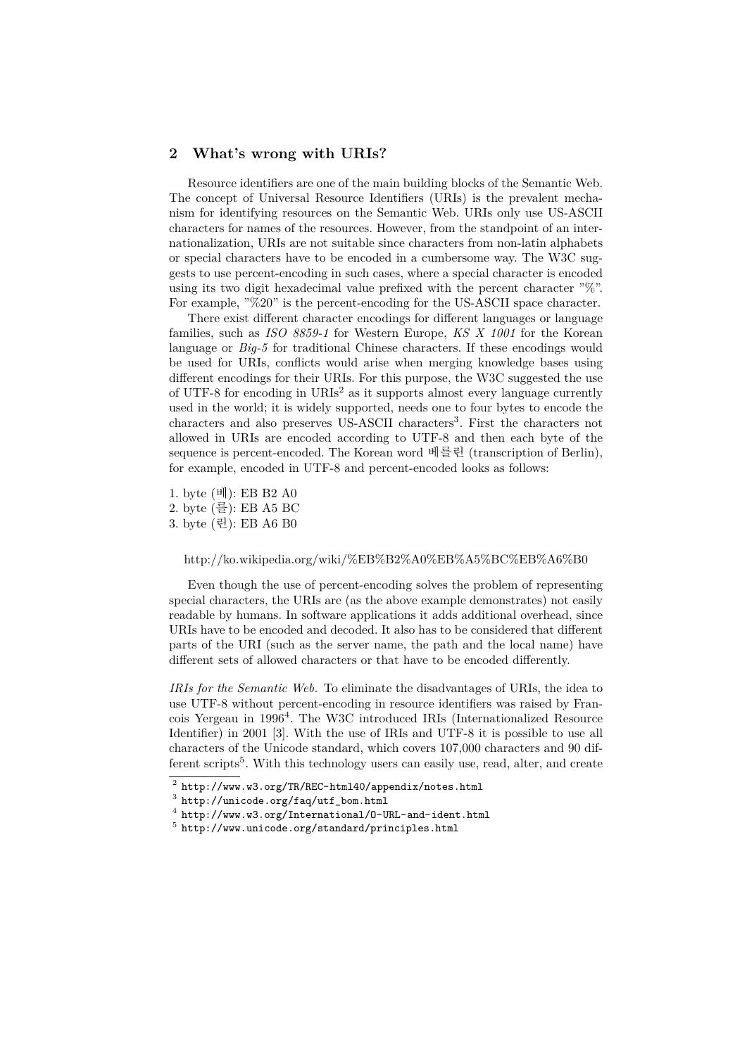# **2 What's wrong with URIs?**

Resource identifiers are one of the main building blocks of the Semantic Web. The concept of Universal Resource Identifiers (URIs) is the prevalent mechanism for identifying resources on the Semantic Web. URIs only use US-ASCII characters for names of the resources. However, from the standpoint of an internationalization, URIs are not suitable since characters from non-latin alphabets or special characters have to be encoded in a cumbersome way. The W3C suggests to use percent-encoding in such cases, where a special character is encoded using its two digit hexadecimal value prefixed with the percent character "%". For example, "%20" is the percent-encoding for the US-ASCII space character.

There exist different character encodings for different languages or language families, such as *ISO 88591* for Western Europe, *KS X 1001* for the Korean language or *Big-5* for traditional Chinese characters. If these encodings would be used for URIs, conflicts would arise when merging knowledge bases using different encodings for their URIs. For this purpose, the W3C suggested the use of UTF-8 for encoding in  $\mathrm{URIs}^2$  as it supports almost every language currently used in the world; it is widely supported, needs one to four bytes to encode the characters and also preserves US-ASCII characters<sup>3</sup>. First the characters not allowed in URIs are encoded according to UTF-8 and then each byte of the sequence is percent-encoded. The Korean word 베를린 (transcription of Berlin), for example, encoded in UTF-8 and percent-encoded looks as follows:

- 1. byte (베): EB B2 A0
- 2. byte (를): EB A5 BC
- 3. byte (린): EB A6 B0

#### http://ko.wikipedia.org/wiki/%EB%B2%A0%EB%A5%BC%EB%A6%B0

Even though the use of percent-encoding solves the problem of representing special characters, the URIs are (as the above example demonstrates) not easily readable by humans. In software applications it adds additional overhead, since URIs have to be encoded and decoded. It also has to be considered that different parts of the URI (such as the server name, the path and the local name) have different sets of allowed characters or that have to be encoded differently.

*IRIs for the Semantic Web.* To eliminate the disadvantages of URIs, the idea to use UTF-8 without percent-encoding in resource identifiers was raised by Francois Yergeau in 1996<sup>4</sup> . The W3C introduced IRIs (Internationalized Resource Identifier) in 2001 [3]. With the use of IRIs and UTF-8 it is possible to use all characters of the Unicode standard, which covers 107,000 characters and 90 different scripts<sup>5</sup>. With this technology users can easily use, read, alter, and create

 $^2$  http://www.w3.org/TR/REC-html40/appendix/notes.html

 $^3$  http://unicode.org/faq/utf\_bom.html

<sup>4</sup> http://www.w3.org/International/O-URL-and-ident.html

 $^5$  http://www.unicode.org/standard/principles.html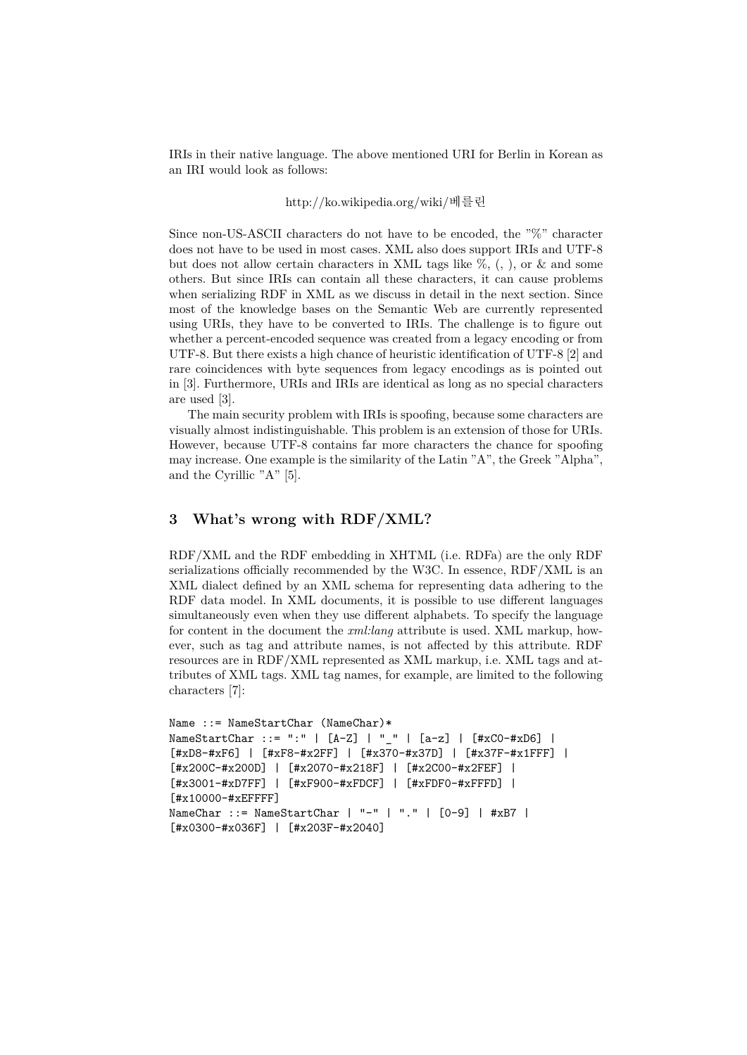IRIs in their native language. The above mentioned URI for Berlin in Korean as an IRI would look as follows:

## http://ko.wikipedia.org/wiki/베를린

Since non-US-ASCII characters do not have to be encoded, the "%" character does not have to be used in most cases. XML also does support IRIs and UTF-8 but does not allow certain characters in XML tags like  $\%$ ,  $(, \cdot)$ , or  $\&$  and some others. But since IRIs can contain all these characters, it can cause problems when serializing RDF in XML as we discuss in detail in the next section. Since most of the knowledge bases on the Semantic Web are currently represented using URIs, they have to be converted to IRIs. The challenge is to figure out whether a percent-encoded sequence was created from a legacy encoding or from UTF-8. But there exists a high chance of heuristic identification of UTF-8  $[2]$  and rare coincidences with byte sequences from legacy encodings as is pointed out in [3]. Furthermore, URIs and IRIs are identical as long as no special characters are used [3].

The main security problem with IRIs is spoofing, because some characters are visually almost indistinguishable. This problem is an extension of those for URIs. However, because UTF-8 contains far more characters the chance for spoofing may increase. One example is the similarity of the Latin "A", the Greek "Alpha", and the Cyrillic "A" [5].

# **3 What's wrong with RDF/XML?**

RDF/XML and the RDF embedding in XHTML (i.e. RDFa) are the only RDF serializations officially recommended by the W3C. In essence, RDF/XML is an XML dialect defined by an XML schema for representing data adhering to the RDF data model. In XML documents, it is possible to use different languages simultaneously even when they use different alphabets. To specify the language for content in the document the *xml:lang* attribute is used. XML markup, however, such as tag and attribute names, is not affected by this attribute. RDF resources are in RDF/XML represented as XML markup, i.e. XML tags and attributes of XML tags. XML tag names, for example, are limited to the following characters [7]:

```
Name ::= NameStartChar (NameChar)*
NameStartChar ::= " : " | [A-Z] | " " | [a-z] | [#xCO-#xD6] |[#xD8-#xF6] | [#xF8-#x2FF] | [#x370-#x37D] | [#x37F-#x1FFF] |
[#x200C-#x200D] | [#x2070-#x218F] | [#x2C00-#x2FEF] |
[#x3001-#xD7FF] | [#xF900-#xFDCF] | [#xFDF0-#xFFFD] |
[#x10000-#xEFFFF]
NameChar ::= NameStartChar | "-" | "." | [0-9] | #xB7 |
[#x0300-#x036F] | [#x203F-#x2040]
```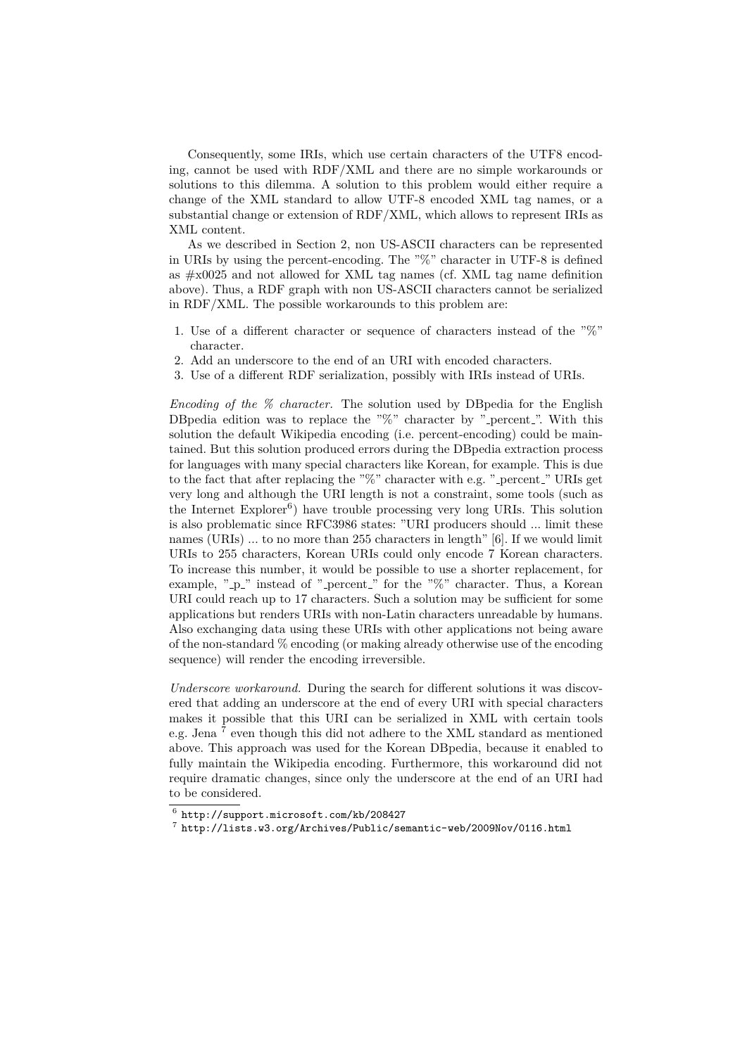Consequently, some IRIs, which use certain characters of the UTF8 encoding, cannot be used with RDF/XML and there are no simple workarounds or solutions to this dilemma. A solution to this problem would either require a change of the XML standard to allow UTF-8 encoded XML tag names, or a substantial change or extension of RDF/XML, which allows to represent IRIs as XML content.

As we described in Section 2, non US-ASCII characters can be represented in URIs by using the percent-encoding. The "%" character in UTF-8 is defined as  $\#x0025$  and not allowed for XML tag names (cf. XML tag name definition above). Thus, a RDF graph with non US-ASCII characters cannot be serialized in RDF/XML. The possible workarounds to this problem are:

- 1. Use of a different character or sequence of characters instead of the "%" character.
- 2. Add an underscore to the end of an URI with encoded characters.
- 3. Use of a different RDF serialization, possibly with IRIs instead of URIs.

*Encoding of the % character.* The solution used by DBpedia for the English DBpedia edition was to replace the  $\frac{9\%}{6}$  character by "\_percent\_". With this solution the default Wikipedia encoding (i.e. percent-encoding) could be maintained. But this solution produced errors during the DBpedia extraction process for languages with many special characters like Korean, for example. This is due to the fact that after replacing the " $\%$ " character with e.g. "\_percent\_" URIs get very long and although the URI length is not a constraint, some tools (such as the Internet Explorer<sup>6</sup>) have trouble processing very long URIs. This solution is also problematic since RFC3986 states: "URI producers should ... limit these names (URIs) ... to no more than 255 characters in length" [6]. If we would limit URIs to 255 characters, Korean URIs could only encode 7 Korean characters. To increase this number, it would be possible to use a shorter replacement, for example, " $-p$ " instead of "-percent " for the "%" character. Thus, a Korean URI could reach up to 17 characters. Such a solution may be sufficient for some applications but renders URIs with nonLatin characters unreadable by humans. Also exchanging data using these URIs with other applications not being aware of the non-standard % encoding (or making already otherwise use of the encoding sequence) will render the encoding irreversible.

*Underscore workaround.* During the search for different solutions it was discovered that adding an underscore at the end of every URI with special characters makes it possible that this URI can be serialized in XML with certain tools e.g. Jena<sup>7</sup> even though this did not adhere to the XML standard as mentioned above. This approach was used for the Korean DBpedia, because it enabled to fully maintain the Wikipedia encoding. Furthermore, this workaround did not require dramatic changes, since only the underscore at the end of an URI had to be considered.

 $^6$  http://support.microsoft.com/kb/208427

 $\frac{7}{1}$  http://lists.w3.org/Archives/Public/semantic-web/2009Nov/0116.html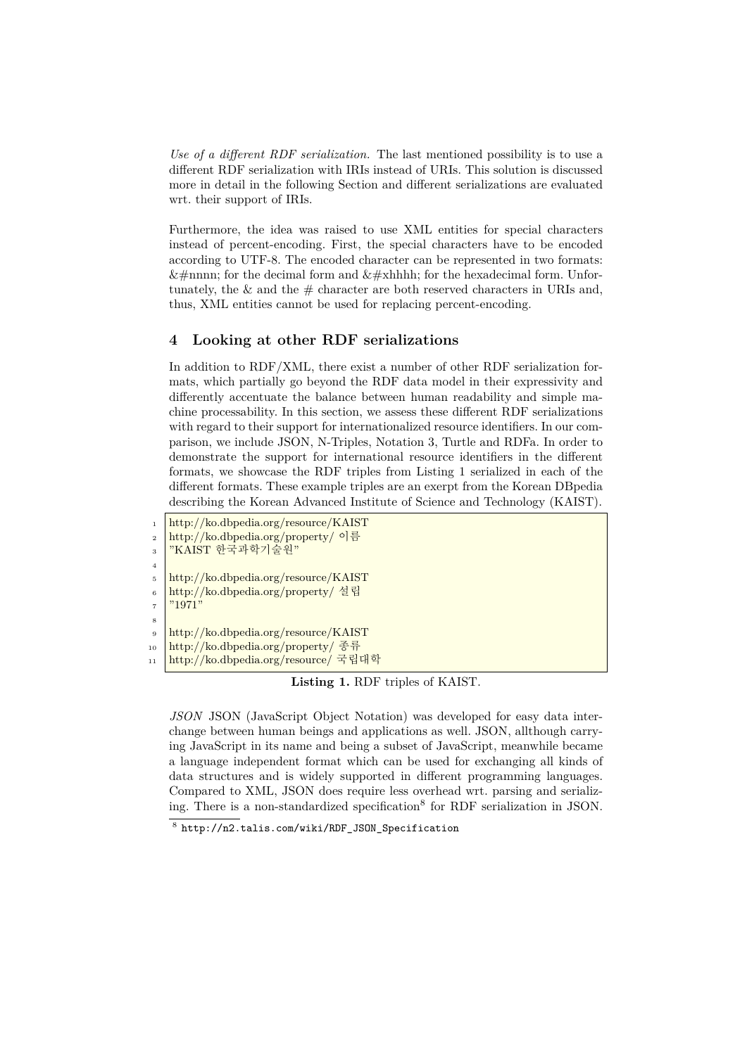*Use of a different RDF serialization.* The last mentioned possibility is to use a different RDF serialization with IRIs instead of URIs. This solution is discussed more in detail in the following Section and different serializations are evaluated wrt. their support of IRIs.

Furthermore, the idea was raised to use XML entities for special characters instead of percent-encoding. First, the special characters have to be encoded according to UTF-8. The encoded character can be represented in two formats: &#nnnn; for the decimal form and  $\&\#x$ hhhh; for the hexadecimal form. Unfortunately, the  $\&$  and the  $\#$  character are both reserved characters in URIs and, thus, XML entities cannot be used for replacing percent-encoding.

# **4 Looking at other RDF serializations**

In addition to RDF/XML, there exist a number of other RDF serialization formats, which partially go beyond the RDF data model in their expressivity and differently accentuate the balance between human readability and simple machine processability. In this section, we assess these different RDF serializations with regard to their support for internationalized resource identifiers. In our comparison, we include JSON, N-Triples, Notation 3, Turtle and RDFa. In order to demonstrate the support for international resource identifiers in the different formats, we showcase the RDF triples from Listing 1 serialized in each of the different formats. These example triples are an exerpt from the Korean DBpedia describing the Korean Advanced Institute of Science and Technology (KAIST).

```
1 http://ko.dbpedia.org/resource/KAIST
2 http://ko.dbpedia.org/property/ 이름
3 "KAIST 한국과학기술원"
4
5 http://ko.dbpedia.org/resource/KAIST
6 http://ko.dbpedia.org/property/ 설립
7 \frac{\text{m}}{\text{m}^2}8
9 http://ko.dbpedia.org/resource/KAIST
10 http://ko.dbpedia.org/property/ 종류
11 http://ko.dbpedia.org/resource/ 국립대학
```
**Listing 1.** RDF triples of KAIST.

*JSON* JSON (JavaScript Object Notation) was developed for easy data interchange between human beings and applications as well. JSON, allthough carrying JavaScript in its name and being a subset of JavaScript, meanwhile became a language independent format which can be used for exchanging all kinds of data structures and is widely supported in different programming languages. Compared to XML, JSON does require less overhead wrt. parsing and serializing. There is a non-standardized specification<sup>8</sup> for RDF serialization in JSON.

<sup>8</sup> http://n2.talis.com/wiki/RDF\_JSON\_Specification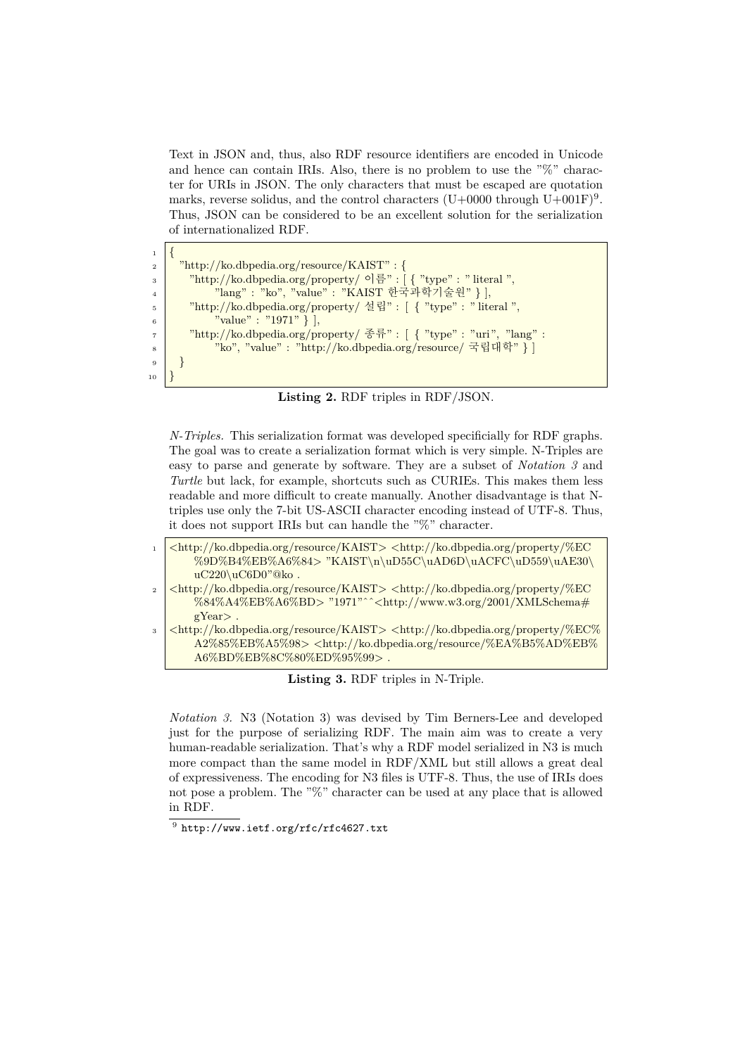Text in JSON and, thus, also RDF resource identifiers are encoded in Unicode and hence can contain IRIs. Also, there is no problem to use the "%" character for URIs in JSON. The only characters that must be escaped are quotation marks, reverse solidus, and the control characters  $(U+0000 \text{ through } U+001\text{F})^9$ . Thus, JSON can be considered to be an excellent solution for the serialization of internationalized RDF.

 "http://ko.dbpedia.org/resource/KAIST" : *{* "http://ko.dbpedia.org/property/ 이름" : [ *{* "type" : " literal ", "lang" : "ko", "value" : "KAIST 한국과학기술원" *}* ], "http://ko.dbpedia.org/property/ 설립" : [ *{* "type" : " literal ", "value" : "1971" *}* ], "http://ko.dbpedia.org/property/ 종류" : [ *{* "type" : "uri", "lang" : "ko", "value" : "http://ko.dbpedia.org/resource/ 국립대학" *}* ] <sup>9</sup> *}* <sup>10</sup> *}*

<sup>1</sup> *{*

**Listing 2.** RDF triples in RDF/JSON.

*N-Triples.* This serialization format was developed specificially for RDF graphs. The goal was to create a serialization format which is very simple. N-Triples are easy to parse and generate by software. They are a subset of *Notation 3* and *Turtle* but lack, for example, shortcuts such as CURIEs. This makes them less readable and more difficult to create manually. Another disadvantage is that Ntriples use only the 7-bit US-ASCII character encoding instead of UTF-8. Thus, it does not support IRIs but can handle the "%" character.

- <sup>1</sup> *<*http://ko.dbpedia.org/resource/KAIST*> <*http://ko.dbpedia.org/property/%EC %9D%B4%EB%A6%84*>* "KAIST*\*n*\*uD55C*\*uAD6D*\*uACFC*\*uD559*\*uAE30*\* uC220*\*uC6D0"@ko .
- <sup>2</sup> *<*http://ko.dbpedia.org/resource/KAIST*> <*http://ko.dbpedia.org/property/%EC %84%A4%EB%A6%BD*>* "1971"ˆˆ*<*http://www.w3.org/2001/XMLSchema# gYear*>* .
- <sup>3</sup> *<*http://ko.dbpedia.org/resource/KAIST*> <*http://ko.dbpedia.org/property/%EC% A2%85%EB%A5%98*> <*http://ko.dbpedia.org/resource/%EA%B5%AD%EB% A6%BD%EB%8C%80%ED%95%99*>* .

**Listing 3.** RDF triples in N-Triple.

*Notation 3.* N3 (Notation 3) was devised by Tim Berners-Lee and developed just for the purpose of serializing RDF. The main aim was to create a very human-readable serialization. That's why a RDF model serialized in N3 is much more compact than the same model in RDF/XML but still allows a great deal of expressiveness. The encoding for N3 files is UTF-8. Thus, the use of IRIs does not pose a problem. The "%" character can be used at any place that is allowed in RDF.

 $^9$  http://www.ietf.org/rfc/rfc4627.txt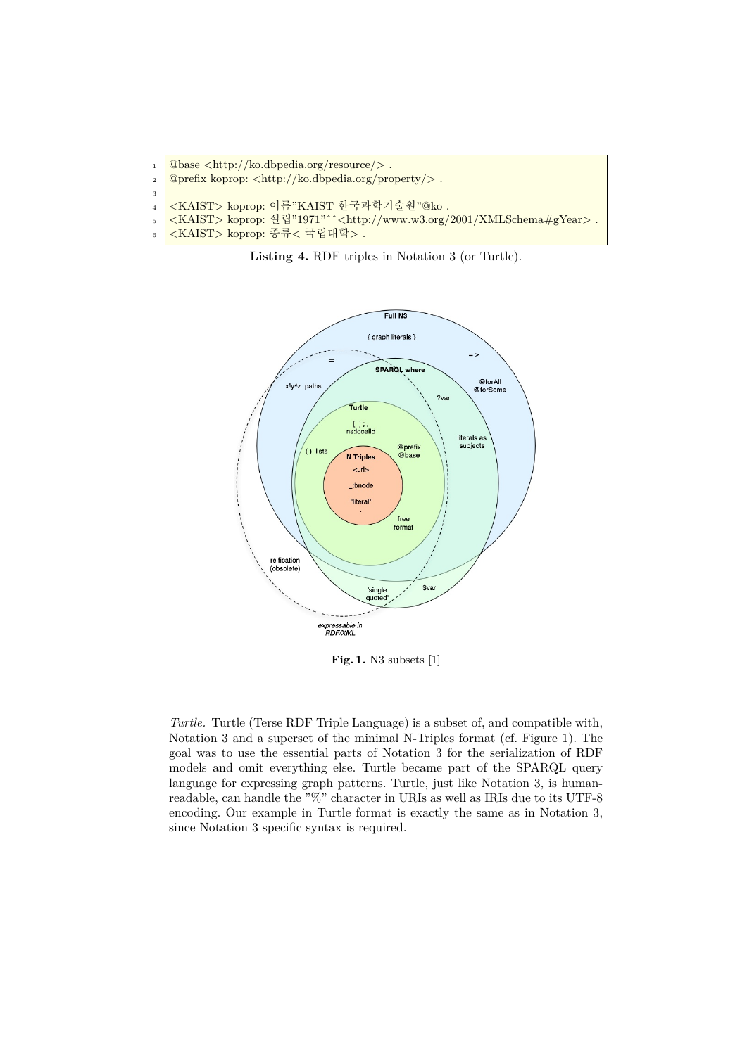- <sup>1</sup> @base *<*http://ko.dbpedia.org/resource/*>* .
- <sup>2</sup> @prefix koprop: *<*http://ko.dbpedia.org/property/*>* .
- 3 <sup>4</sup> *<*KAIST*>* koprop: 이름"KAIST 한국과학기술원"@ko .
- <sup>5</sup> *<*KAIST*>* koprop: 설립"1971"ˆˆ*<*http://www.w3.org/2001/XMLSchema#gYear*>* .
- <sup>6</sup> *<*KAIST*>* koprop: 종류*<* 국립대학*>* .

**Listing 4.** RDF triples in Notation 3 (or Turtle).



**Fig. 1.** N3 subsets [1]

*Turtle.* Turtle (Terse RDF Triple Language) is a subset of, and compatible with, Notation 3 and a superset of the minimal N-Triples format (cf. Figure 1). The goal was to use the essential parts of Notation 3 for the serialization of RDF models and omit everything else. Turtle became part of the SPARQL query language for expressing graph patterns. Turtle, just like Notation 3, is humanreadable, can handle the "%" character in URIs as well as IRIs due to its UTF-8 encoding. Our example in Turtle format is exactly the same as in Notation 3, since Notation 3 specific syntax is required.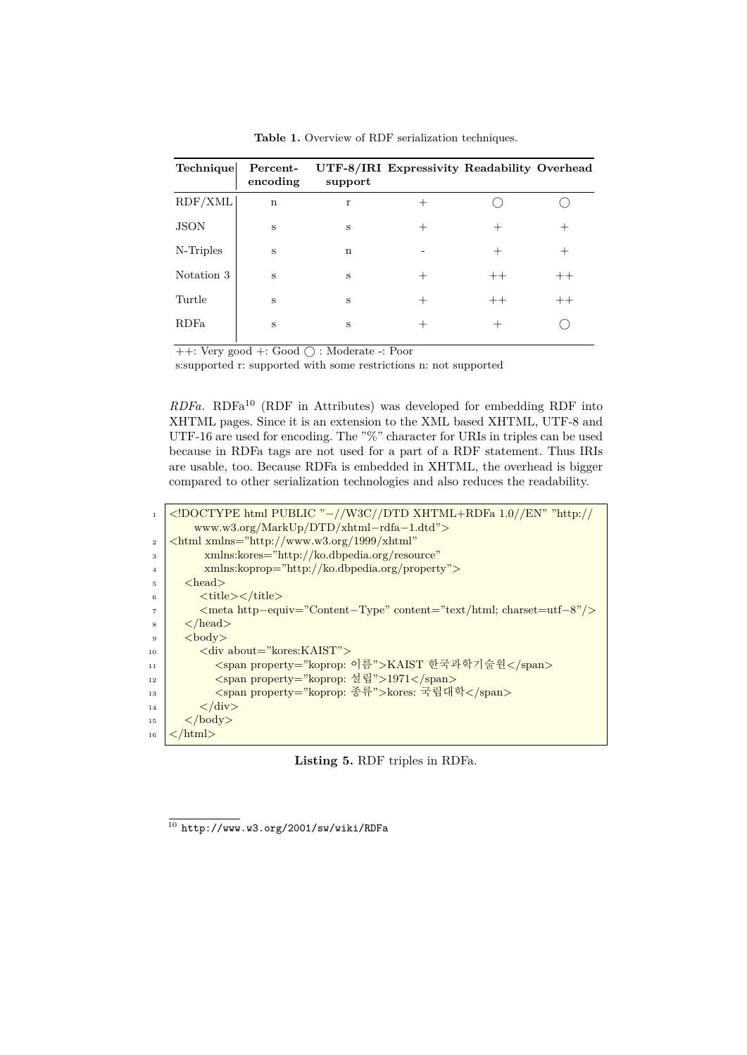| <b>Technique</b> | Percent-<br>encoding | support | UTF-8/IRI Expressivity Readability Overhead |      |         |
|------------------|----------------------|---------|---------------------------------------------|------|---------|
| RDF/XML          | n                    | r       | $^+$                                        |      |         |
| <b>JSON</b>      | S                    | S       | $\hspace{0.1mm} +$                          | $^+$ | $^+$    |
| N-Triples        | S                    | n       |                                             | $^+$ | $^+$    |
| Notation 3       | S                    | S       | $^+$                                        | $++$ | $^+$    |
| Turtle           | S                    | S       | $^+$                                        | $++$ | $^{++}$ |
| RDFa             | S                    | S       | $^+$                                        |      |         |
|                  |                      |         |                                             |      |         |

**Table 1.** Overview of RDF serialization techniques.

++: Very good +: Good *⃝* : Moderate -: Poor

s:supported r: supported with some restrictions n: not supported

*RDFa.* RDFa<sup>10</sup> (RDF in Attributes) was developed for embedding RDF into XHTML pages. Since it is an extension to the XML based XHTML, UTF-8 and UTF-16 are used for encoding. The "%" character for URIs in triples can be used because in RDFa tags are not used for a part of a RDF statement. Thus IRIs are usable, too. Because RDFa is embedded in XHTML, the overhead is bigger compared to other serialization technologies and also reduces the readability.

```
1 <!DOCTYPE html PUBLIC "−//W3C//DTD XHTML+RDFa 1.0//EN" "http://
      www.w3.org/MarkUp/DTD/xhtml−rdfa−1.dtd">
<sup>2</sup> <html xmlns="http://www.w3.org/1999/xhtml"
3 xmlns:kores="http://ko.dbpedia.org/resource"
4 xmlns:koprop="http://ko.dbpedia.org/property">
5 <head>
6 <title></title>
7 <meta http−equiv="Content−Type" content="text/html; charset=utf−8"/>
8 </head>
9 <body>
10 \langle div about="kores:KAIST">
11 <span property="koprop: 이름">KAIST 한국과학기술원</span>
12 <span property="koprop: 설립">1971</span>
13 <span property="koprop: 종류">kores: 국립대학</span>
14 </div>
15 </body>
16 </html>
```
**Listing 5.** RDF triples in RDFa.

 $^{10}$ http://www.w3.org/2001/sw/wiki/RDFa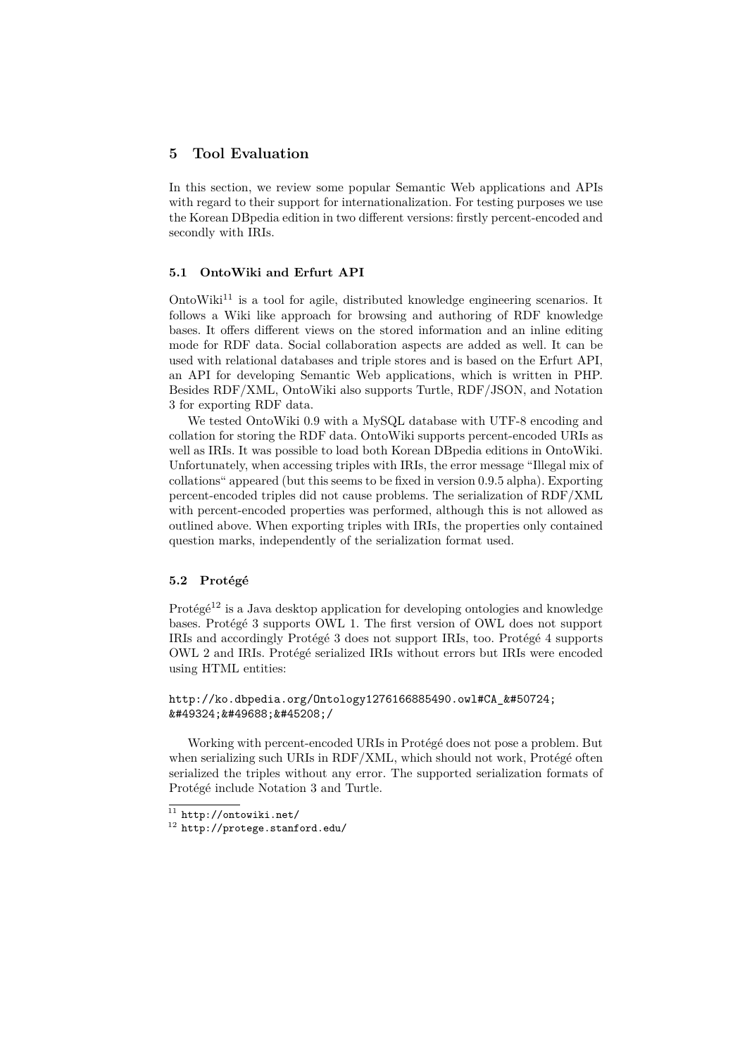# **5 Tool Evaluation**

In this section, we review some popular Semantic Web applications and APIs with regard to their support for internationalization. For testing purposes we use the Korean DBpedia edition in two different versions: firstly percent-encoded and secondly with IRIs.

#### **5.1 OntoWiki and Erfurt API**

OntoWiki<sup>11</sup> is a tool for agile, distributed knowledge engineering scenarios. It follows a Wiki like approach for browsing and authoring of RDF knowledge bases. It offers different views on the stored information and an inline editing mode for RDF data. Social collaboration aspects are added as well. It can be used with relational databases and triple stores and is based on the Erfurt API, an API for developing Semantic Web applications, which is written in PHP. Besides RDF/XML, OntoWiki also supports Turtle, RDF/JSON, and Notation 3 for exporting RDF data.

We tested OntoWiki 0.9 with a MySQL database with UTF-8 encoding and collation for storing the RDF data. OntoWiki supports percent-encoded URIs as well as IRIs. It was possible to load both Korean DBpedia editions in OntoWiki. Unfortunately, when accessing triples with IRIs, the error message "Illegal mix of collations" appeared (but this seems to be fixed in version 0.9.5 alpha). Exporting percent-encoded triples did not cause problems. The serialization of RDF/XML with percent-encoded properties was performed, although this is not allowed as outlined above. When exporting triples with IRIs, the properties only contained question marks, independently of the serialization format used.

# **5.2 Protégé**

Protégé<sup>12</sup> is a Java desktop application for developing ontologies and knowledge bases. Protégé 3 supports OWL 1. The first version of OWL does not support IRIs and accordingly Protégé 3 does not support IRIs, too. Protégé 4 supports OWL 2 and IRIs. Protégé serialized IRIs without errors but IRIs were encoded using HTML entities:

## http://ko.dbpedia.org/Ontology1276166885490.owl#CA\_오 사 수 나 /

Working with percent-encoded URIs in Protégé does not pose a problem. But when serializing such URIs in RDF/XML, which should not work, Protégé often serialized the triples without any error. The supported serialization formats of Protégé include Notation 3 and Turtle.

 $\overline{11}$  http://ontowiki.net/

<sup>12</sup> http://protege.stanford.edu/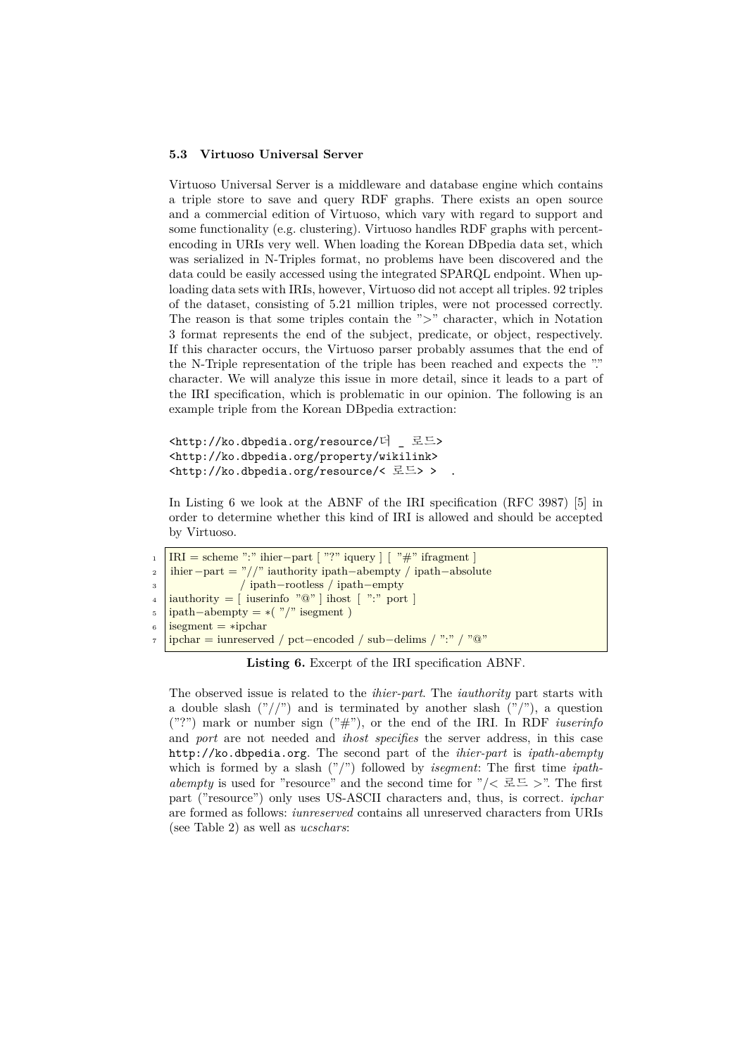#### **5.3 Virtuoso Universal Server**

Virtuoso Universal Server is a middleware and database engine which contains a triple store to save and query RDF graphs. There exists an open source and a commercial edition of Virtuoso, which vary with regard to support and some functionality (e.g. clustering). Virtuoso handles RDF graphs with percentencoding in URIs very well. When loading the Korean DBpedia data set, which was serialized in N-Triples format, no problems have been discovered and the data could be easily accessed using the integrated SPARQL endpoint. When uploading data sets with IRIs, however, Virtuoso did not accept all triples. 92 triples of the dataset, consisting of 5.21 million triples, were not processed correctly. The reason is that some triples contain the ">" character, which in Notation 3 format represents the end of the subject, predicate, or object, respectively. If this character occurs, the Virtuoso parser probably assumes that the end of the N-Triple representation of the triple has been reached and expects the "." character. We will analyze this issue in more detail, since it leads to a part of the IRI specification, which is problematic in our opinion. The following is an example triple from the Korean DBpedia extraction:

```
<http://ko.dbpedia.org/resource/더 _ 로드>
<http://ko.dbpedia.org/property/wikilink>
<http://ko.dbpedia.org/resource/< 로드> > .
```
In Listing 6 we look at the ABNF of the IRI specification (RFC 3987) [5] in order to determine whether this kind of IRI is allowed and should be accepted by Virtuoso.

```
1 IRI = scheme ":" ihier-part [ "?" iquery \vert \vert "#" ifragment ]
2 ihier−part = "//" iauthority ipath−abempty / ipath−absolute
3 / ipath−rootless / ipath−empty
4 | iauthority = [ iuserinfo \mathcal{O}^{\prime\prime} ] ihost [ ":" port ]
5 ipath−abempty = ∗( "/" isegment )
6 isegment = ∗ipchar
   7 ipchar = iunreserved / pct−encoded / sub−delims / ":" / "@"
```
**Listing 6.** Excerpt of the IRI specification ABNF.

The observed issue is related to the *ihier-part*. The *iauthority* part starts with a double slash  $\binom{n}{x}$  and is terminated by another slash  $\binom{n}{x}$ , a question ("?") mark or number sign ("#"), or the end of the IRI. In RDF *iuserinfo* and *port* are not needed and *ihost specifies* the server address, in this case http://ko.dbpedia.org. The second part of the *ihier-part* is *ipath-abempty* which is formed by a slash  $(\gamma')$  followed by *isegment*: The first time *ipathabempty* is used for "resource" and the second time for "/ $\lt \equiv \gt$ ". The first part ("resource") only uses US-ASCII characters and, thus, is correct. *ipchar* are formed as follows: *iunreserved* contains all unreserved characters from URIs (see Table 2) as well as *ucschars*: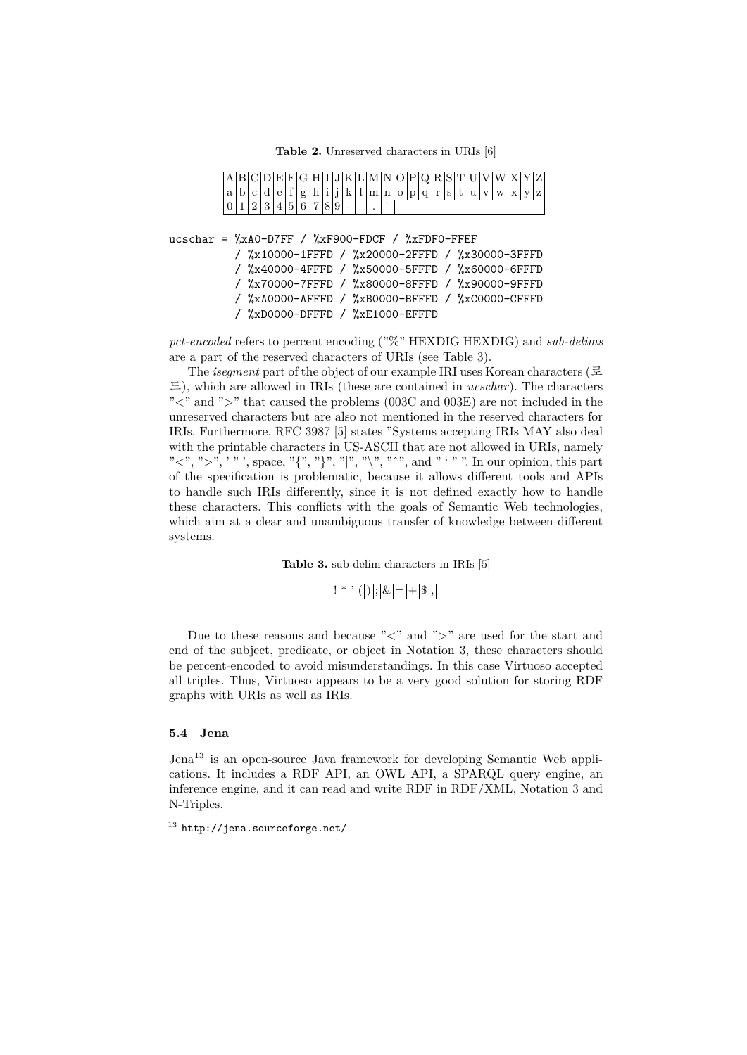**Table 2.** Unreserved characters in URIs [6]

|   |  |  |             |  |  |  |        |  |  |  |  | $\textcolor{red}{\textbf{[D E F G H I J K L M N O P Q R S T U V W X Y Z}}$                                                                                                                                |  |  |
|---|--|--|-------------|--|--|--|--------|--|--|--|--|-----------------------------------------------------------------------------------------------------------------------------------------------------------------------------------------------------------|--|--|
| a |  |  |             |  |  |  |        |  |  |  |  | $\vert b \vert c \vert d \vert e \vert f \vert g \vert h \vert i \vert j \vert k \vert l \vert m \vert n \vert o \vert p \vert q \vert r \vert s \vert t \vert u \vert v \vert w \vert x \vert y \vert z$ |  |  |
|   |  |  | 4 5 6 7 8 9 |  |  |  | $\sim$ |  |  |  |  |                                                                                                                                                                                                           |  |  |

ucschar =  $\frac{6}{2}$ xA0-D7FF /  $\frac{6}{2}$ xF900-FDCF /  $\frac{6}{2}$ xFDF0-FFEF

|  |                                                           | / %x10000-1FFFD / %x20000-2FFFD / %x30000-3FFFD                                                                                 |  |
|--|-----------------------------------------------------------|---------------------------------------------------------------------------------------------------------------------------------|--|
|  |                                                           | / %x40000-4FFFD / %x50000-5FFFD / %x60000-6FFFD                                                                                 |  |
|  |                                                           | / %x70000-7FFFD / %x80000-8FFFD / %x90000-9FFFD                                                                                 |  |
|  |                                                           | / $\frac{0.0000}{0.0000}$ / $\frac{0.0000}{0.0000}$ / $\frac{0.0000}{0.0000}$ / $\frac{0.0000}{0.0000}$ $\frac{0.0000}{0.0000}$ |  |
|  | / $\frac{9}{2}$ xD0000-DFFFD / $\frac{9}{2}$ xE1000-EFFFD |                                                                                                                                 |  |
|  |                                                           |                                                                                                                                 |  |

*pct-encoded* refers to percent encoding ("%" HEXDIG HEXDIG) and *sub-delims* are a part of the reserved characters of URIs (see Table 3).

The *isegment* part of the object of our example IRI uses Korean characters (로  $\Xi$ ), which are allowed in IRIs (these are contained in *ucschar*). The characters " $\lt$ " and " $>$ " that caused the problems (003C and 003E) are not included in the unreserved characters but are also not mentioned in the reserved characters for IRIs. Furthermore, RFC 3987 [5] states "Systems accepting IRIs MAY also deal with the printable characters in US-ASCII that are not allowed in URIs, namely "<", ">", " ', space, "{", "}", "|", "\", "^", and "'" ". In our opinion, this part of the specification is problematic, because it allows different tools and APIs to handle such IRIs differently, since it is not defined exactly how to handle these characters. This conflicts with the goals of Semantic Web technologies, which aim at a clear and unambiguous transfer of knowledge between different systems.

**Table 3.** sub-delim characters in IRIs [5]

# $|!^*|'|(|)|; |\&| = |+|\$\|,$

Due to these reasons and because " $\lt$ " and " $\gt$ " are used for the start and end of the subject, predicate, or object in Notation 3, these characters should be percent-encoded to avoid misunderstandings. In this case Virtuoso accepted all triples. Thus, Virtuoso appears to be a very good solution for storing RDF graphs with URIs as well as IRIs.

#### **5.4 Jena**

Jena<sup>13</sup> is an open-source Java framework for developing Semantic Web applications. It includes a RDF API, an OWL API, a SPARQL query engine, an inference engine, and it can read and write RDF in RDF/XML, Notation 3 and N-Triples.

<sup>13</sup> http://jena.sourceforge.net/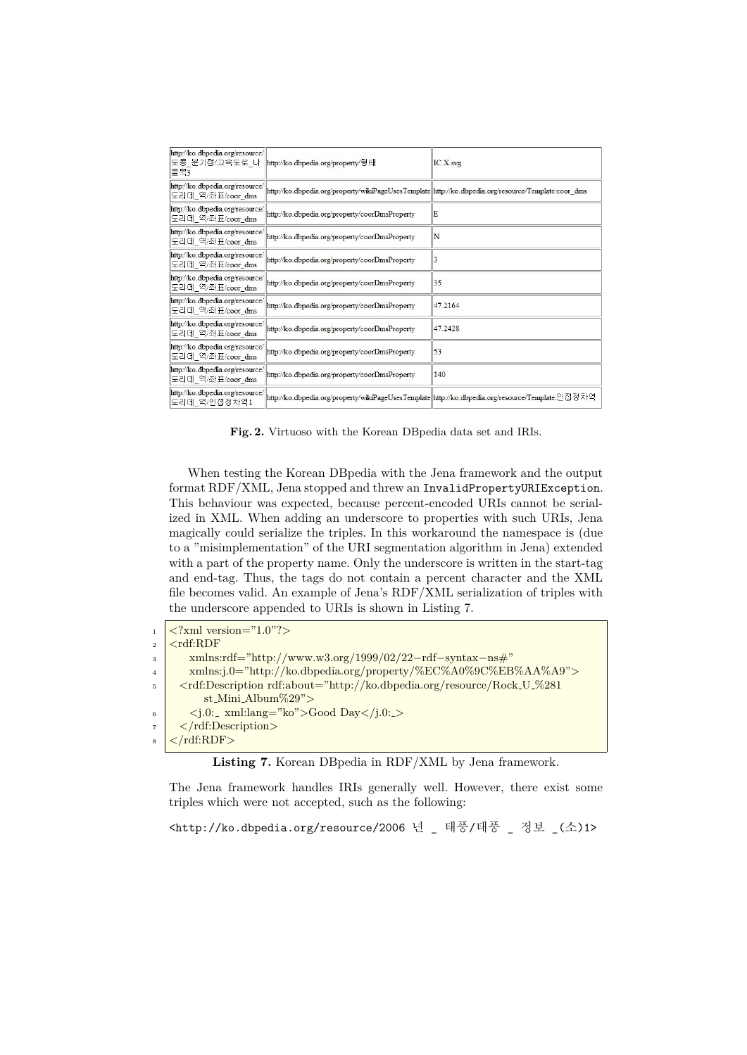| http://ko.dbpedia.org/resource/<br>도동 분기점/고속도로 나<br>들목3 | http://ko.dbpedia.org/property/형태                                                                     | IC X.svg |
|---------------------------------------------------------|-------------------------------------------------------------------------------------------------------|----------|
| http://ko.dbpedia.org/resource/<br>도리데 역/좌표/coor dms    | http://ko.dbpedia.org/property/wikiPageUsesTemplate  http://ko.dbpedia.org/resource/Template:coor dms |          |
| http://ko.dbpedia.org/resource/<br>도리데_역/좌표/coor_dms    | http://ko.dbpedia.org/property/coorDmsProperty                                                        | E        |
| http://ko.dbpedia.org/resource/<br>도리데 역/좌표/coor dms    | http://ko.dbpedia.org/property/coorDmsProperty                                                        | N        |
| http://ko.dbpedia.org/resource/<br>도리데 역/좌표/coor dms    | http://ko.dbpedia.org/property/coorDmsProperty                                                        | 13       |
| http://ko.dbpedia.org/resource/<br>도리데 역/좌표/coor dms    | http://ko.dbpedia.org/property/coorDmsProperty                                                        | 35       |
| http://ko.dbpedia.org/resource/<br>도리데 역/좌표/coor dms    | http://ko.dbpedia.org/property/coorDmsProperty                                                        | 47.2164  |
| http://ko.dbpedia.org/resource/<br>도리데 역/좌표/coor dms    | http://ko.dbpedia.org/property/coorDmsProperty                                                        | 47.2428  |
| http://ko.dbpedia.org/resource/<br>도리데_역/좌표/coor_dms    | http://ko.dbpedia.org/property/coorDmsProperty                                                        | 53       |
| http://ko.dbpedia.org/resource/<br>도리데 역/좌표/coor dms    | http://ko.dbpedia.org/property/coorDmsProperty                                                        | 140      |
| http://ko.dbpedia.org/resource/<br>도리데 역/인접정차역1         | http://ko.dbpedia.org/property/wikiPageUsesTemplate  http://ko.dbpedia.org/resource/Template:인접정차역    |          |

**Fig. 2.** Virtuoso with the Korean DBpedia data set and IRIs.

When testing the Korean DBpedia with the Jena framework and the output format RDF/XML, Jena stopped and threw an InvalidPropertyURIException. This behaviour was expected, because percent-encoded URIs cannot be serialized in XML. When adding an underscore to properties with such URIs, Jena magically could serialize the triples. In this workaround the namespace is (due to a "misimplementation" of the URI segmentation algorithm in Jena) extended with a part of the property name. Only the underscore is written in the start-tag and end-tag. Thus, the tags do not contain a percent character and the XML file becomes valid. An example of Jena's RDF/XML serialization of triples with the underscore appended to URIs is shown in Listing 7.

```
1 <?xml version="1.0"?>
2 <rdf:RDF
3 xmlns:rdf="http://www.w3.org/1999/02/22−rdf−syntax−ns#"
4 xmlns:j.0="http://ko.dbpedia.org/property/%EC%A0%9C%EB%AA%A9">
5 <rdf:Description rdf:about="http://ko.dbpedia.org/resource/Rock U %281
        st Mini Album%29">
6 <j.0: xml:lang="ko">Good Day</j.0: >
7 </rdf:Description>
  8 </rdf:RDF>
```
Listing 7. Korean DBpedia in RDF/XML by Jena framework.

The Jena framework handles IRIs generally well. However, there exist some triples which were not accepted, such as the following:

<http://ko.dbpedia.org/resource/2006 년 \_ 태풍/태풍 \_ 정보 \_(소)1>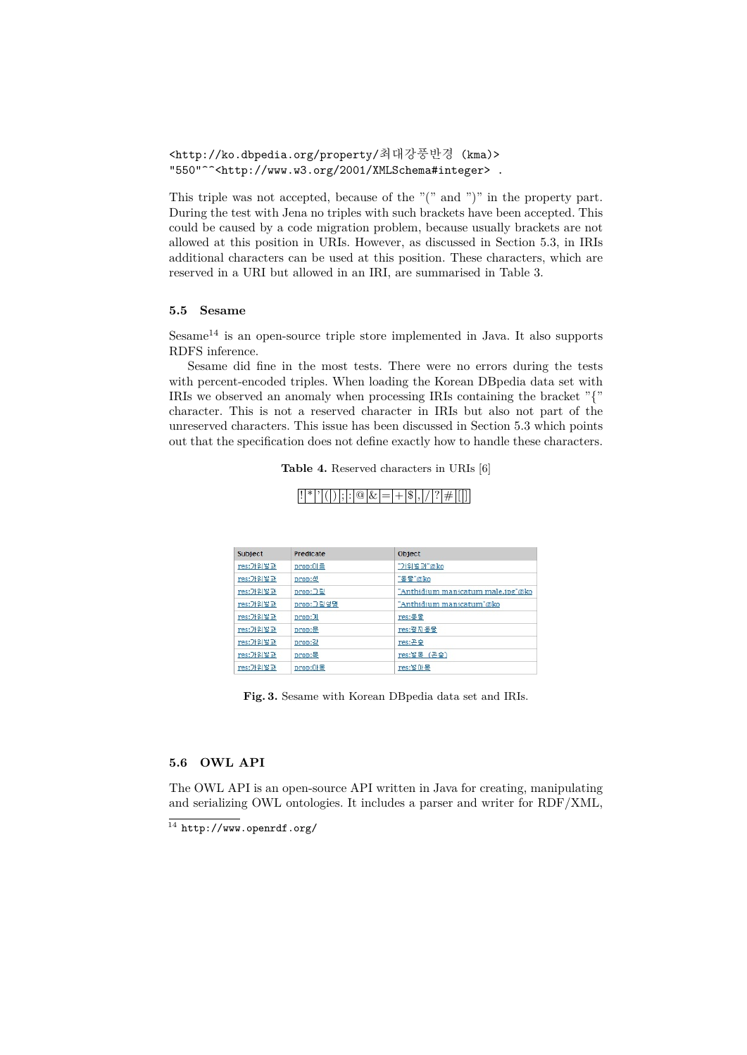```
<http://ko.dbpedia.org/property/최대강풍반경 (kma)>
"550"^^<http://www.w3.org/2001/XMLSchema#integer> .
```
This triple was not accepted, because of the "(" and ")" in the property part. During the test with Jena no triples with such brackets have been accepted. This could be caused by a code migration problem, because usually brackets are not allowed at this position in URIs. However, as discussed in Section 5.3, in IRIs additional characters can be used at this position. These characters, which are reserved in a URI but allowed in an IRI, are summarised in Table 3.

# **5.5 Sesame**

 $Sesame<sup>14</sup>$  is an open-source triple store implemented in Java. It also supports RDFS inference.

Sesame did fine in the most tests. There were no errors during the tests with percent-encoded triples. When loading the Korean DBpedia data set with IRIs we observed an anomaly when processing IRIs containing the bracket "*{*" character. This is not a reserved character in IRIs but also not part of the unreserved characters. This issue has been discussed in Section 5.3 which points out that the specification does not define exactly how to handle these characters.

**Table 4.** Reserved characters in URIs [6]

| Subject         | Predicate      | Object                                 |
|-----------------|----------------|----------------------------------------|
| res:가위별과        | prop:이름        | <u>"가위벌과"@ko</u>                       |
| res:가위별과        | prop:색         | $\equiv$ $\equiv$ $\equiv$ $\infty$ ko |
| <u>res:가위벌과</u> | prop:그림        | "Anthidium manicatum male.jpg"@ko      |
| res:가위별과        | prop:그림설명      | "Anthidium manicatum"@ko               |
| res:가위별과        | prop:게         | res:동물                                 |
| <u>res:가위별과</u> | prop:문         | res:절지동물                               |
| res:가위벌과        | prop:강         | res:곤충                                 |
| res:가위별과        | $prop: \equiv$ | res:별목 (곤충)                            |
| res:가위별과        | prop:아목        | res:별마목                                |

|  |  |  |  |  |  |  |  |  |  |  |  |  |  |  | $! * ' ( ) ; : \mathbb{Q} \& = + \$ , / ? \# [ ]$ |  |  |  |
|--|--|--|--|--|--|--|--|--|--|--|--|--|--|--|---------------------------------------------------|--|--|--|
|--|--|--|--|--|--|--|--|--|--|--|--|--|--|--|---------------------------------------------------|--|--|--|

**Fig. 3.** Sesame with Korean DBpedia data set and IRIs.

#### **5.6 OWL API**

The OWL API is an open-source API written in Java for creating, manipulating and serializing OWL ontologies. It includes a parser and writer for RDF/XML,

<sup>14</sup> http://www.openrdf.org/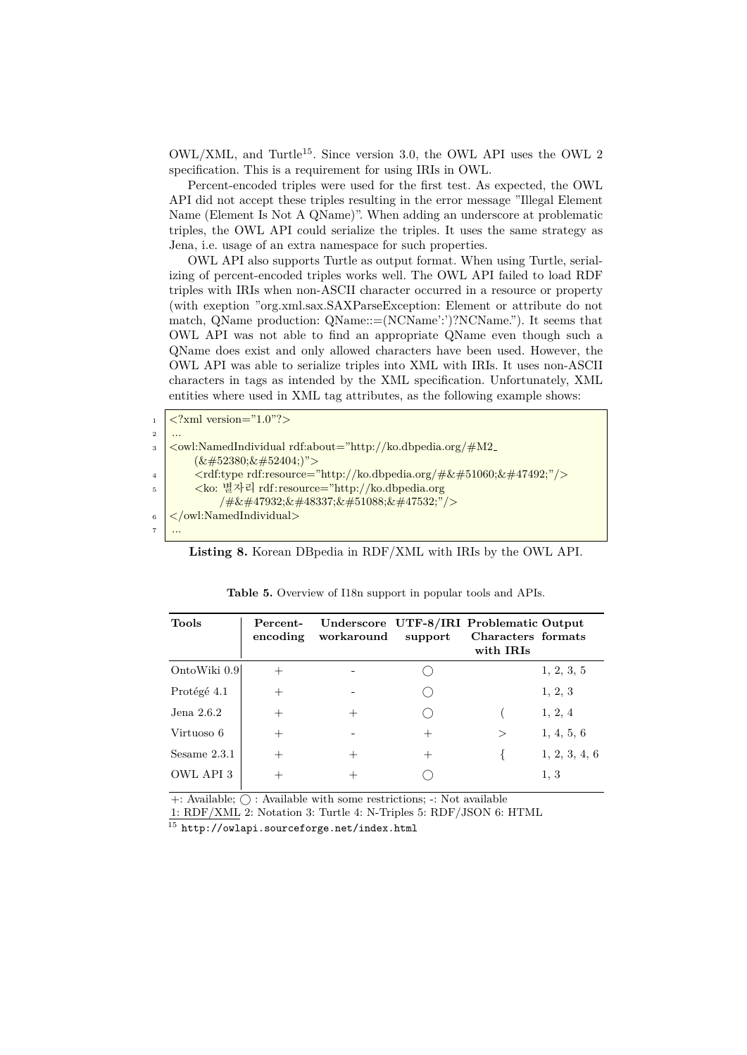OWL/XML, and Turtle<sup>15</sup>. Since version 3.0, the OWL API uses the OWL 2 specification. This is a requirement for using IRIs in OWL.

Percent-encoded triples were used for the first test. As expected, the OWL API did not accept these triples resulting in the error message "Illegal Element Name (Element Is Not A QName)". When adding an underscore at problematic triples, the OWL API could serialize the triples. It uses the same strategy as Jena, i.e. usage of an extra namespace for such properties.

OWL API also supports Turtle as output format. When using Turtle, serializing of percent-encoded triples works well. The OWL API failed to load RDF triples with IRIs when non-ASCII character occurred in a resource or property (with exeption "org.xml.sax.SAXParseException: Element or attribute do not match, QName production: QName::=(NCName':')?NCName."). It seems that OWL API was not able to find an appropriate QName even though such a QName does exist and only allowed characters have been used. However, the OWL API was able to serialize triples into XML with IRIs. It uses non-ASCII characters in tags as intended by the XML specification. Unfortunately, XML entities where used in XML tag attributes, as the following example shows:

```
1 <?xml version="1.0"?>
<sup>2</sup>
3 <owl:NamedIndividual rdf:about="http://ko.dbpedia.org/#M2
      (k#52380; k#52404;)">
4 \\timesource="http://ko.dbpedia.org/#이름"/>
5 <ko: 별자리 rdf:resource="http://ko.dbpedia.org
          /#물 병 자 리"/>
6 </owl:NamedIndividual>
7 \mid ...
```
**Listing 8.** Korean DBpedia in RDF/XML with IRIs by the OWL API.

| <b>Tools</b> | Percent-<br>encoding | workaround | support | Underscore UTF-8/IRI Problematic Output<br>Characters formats<br>with IRIs |               |
|--------------|----------------------|------------|---------|----------------------------------------------------------------------------|---------------|
| OntoWiki 0.9 | $^+$                 |            |         |                                                                            | 1, 2, 3, 5    |
| Protégé 4.1  | $^{+}$               |            |         |                                                                            | 1, 2, 3       |
| Jena $2.6.2$ | $\,+\,$              | $^+$       |         |                                                                            | 1, 2, 4       |
| Virtuoso 6   | $^+$                 |            | $\pm$   | $\rm{>}$                                                                   | 1, 4, 5, 6    |
| Sesame 2.3.1 | $^+$                 | $^+$       | $^+$    |                                                                            | 1, 2, 3, 4, 6 |
| OWL API 3    | $^+$                 | $^+$       |         |                                                                            | 1, 3          |
|              |                      |            |         |                                                                            |               |

**Table 5.** Overview of I18n support in popular tools and APIs.

+: Available; *⃝* : Available with some restrictions; -: Not available

1: RDF/XML 2: Notation 3: Turtle 4: N-Triples 5: RDF/JSON 6: HTML

 $^{15}$ http://owlapi.sourceforge.net/index.html